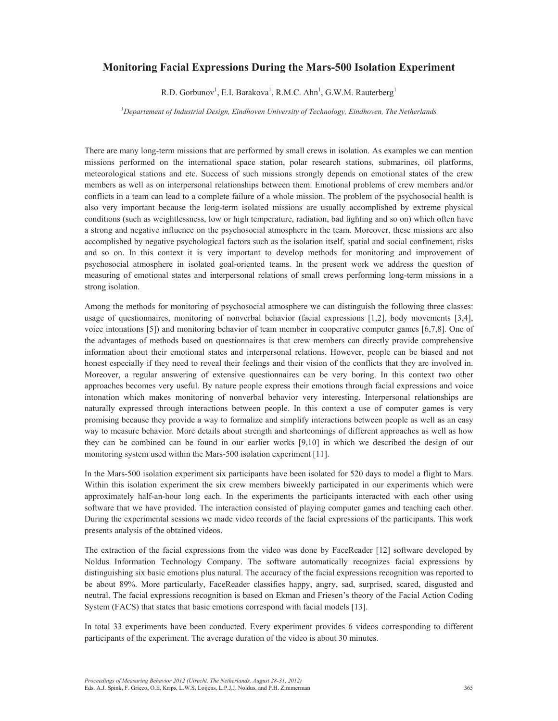## **Monitoring Facial Expressions During the Mars-500 Isolation Experiment**

R.D. Gorbunov<sup>1</sup>, E.I. Barakova<sup>1</sup>, R.M.C. Ahn<sup>1</sup>, G.W.M. Rauterberg<sup>1</sup>

*<sup>1</sup>Departement of Industrial Design, Eindhoven University of Technology, Eindhoven, The Netherlands* 

There are many long-term missions that are performed by small crews in isolation. As examples we can mention missions performed on the international space station, polar research stations, submarines, oil platforms, meteorological stations and etc. Success of such missions strongly depends on emotional states of the crew members as well as on interpersonal relationships between them. Emotional problems of crew members and/or conflicts in a team can lead to a complete failure of a whole mission. The problem of the psychosocial health is also very important because the long-term isolated missions are usually accomplished by extreme physical conditions (such as weightlessness, low or high temperature, radiation, bad lighting and so on) which often have a strong and negative influence on the psychosocial atmosphere in the team. Moreover, these missions are also accomplished by negative psychological factors such as the isolation itself, spatial and social confinement, risks and so on. In this context it is very important to develop methods for monitoring and improvement of psychosocial atmosphere in isolated goal-oriented teams. In the present work we address the question of measuring of emotional states and interpersonal relations of small crews performing long-term missions in a strong isolation.

Among the methods for monitoring of psychosocial atmosphere we can distinguish the following three classes: usage of questionnaires, monitoring of nonverbal behavior (facial expressions [1,2], body movements [3,4], voice intonations [5]) and monitoring behavior of team member in cooperative computer games [6,7,8]. One of the advantages of methods based on questionnaires is that crew members can directly provide comprehensive information about their emotional states and interpersonal relations. However, people can be biased and not honest especially if they need to reveal their feelings and their vision of the conflicts that they are involved in. Moreover, a regular answering of extensive questionnaires can be very boring. In this context two other approaches becomes very useful. By nature people express their emotions through facial expressions and voice intonation which makes monitoring of nonverbal behavior very interesting. Interpersonal relationships are naturally expressed through interactions between people. In this context a use of computer games is very promising because they provide a way to formalize and simplify interactions between people as well as an easy way to measure behavior. More details about strength and shortcomings of different approaches as well as how they can be combined can be found in our earlier works [9,10] in which we described the design of our monitoring system used within the Mars-500 isolation experiment [11].

In the Mars-500 isolation experiment six participants have been isolated for 520 days to model a flight to Mars. Within this isolation experiment the six crew members biweekly participated in our experiments which were approximately half-an-hour long each. In the experiments the participants interacted with each other using software that we have provided. The interaction consisted of playing computer games and teaching each other. During the experimental sessions we made video records of the facial expressions of the participants. This work presents analysis of the obtained videos.

The extraction of the facial expressions from the video was done by FaceReader [12] software developed by Noldus Information Technology Company. The software automatically recognizes facial expressions by distinguishing six basic emotions plus natural. The accuracy of the facial expressions recognition was reported to be about 89%. More particularly, FaceReader classifies happy, angry, sad, surprised, scared, disgusted and neutral. The facial expressions recognition is based on Ekman and Friesen's theory of the Facial Action Coding System (FACS) that states that basic emotions correspond with facial models [13].

In total 33 experiments have been conducted. Every experiment provides 6 videos corresponding to different participants of the experiment. The average duration of the video is about 30 minutes.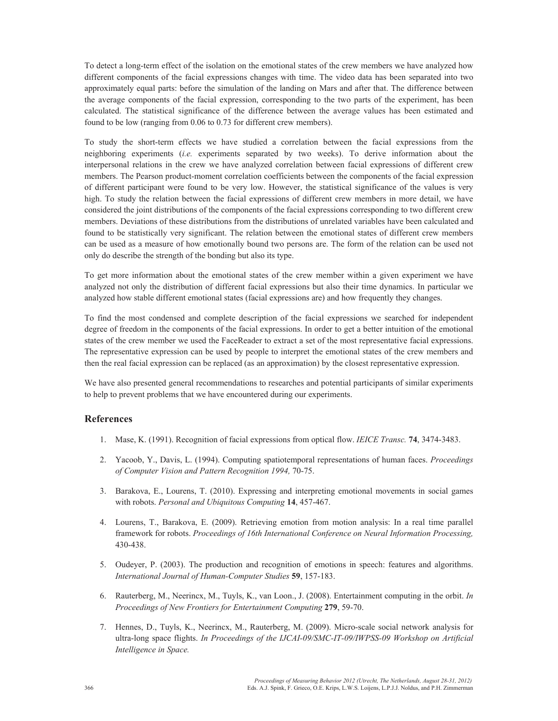To detect a long-term effect of the isolation on the emotional states of the crew members we have analyzed how different components of the facial expressions changes with time. The video data has been separated into two approximately equal parts: before the simulation of the landing on Mars and after that. The difference between the average components of the facial expression, corresponding to the two parts of the experiment, has been calculated. The statistical significance of the difference between the average values has been estimated and found to be low (ranging from 0.06 to 0.73 for different crew members).

To study the short-term effects we have studied a correlation between the facial expressions from the neighboring experiments (*i.e.* experiments separated by two weeks). To derive information about the interpersonal relations in the crew we have analyzed correlation between facial expressions of different crew members. The Pearson product-moment correlation coefficients between the components of the facial expression of different participant were found to be very low. However, the statistical significance of the values is very high. To study the relation between the facial expressions of different crew members in more detail, we have considered the joint distributions of the components of the facial expressions corresponding to two different crew members. Deviations of these distributions from the distributions of unrelated variables have been calculated and found to be statistically very significant. The relation between the emotional states of different crew members can be used as a measure of how emotionally bound two persons are. The form of the relation can be used not only do describe the strength of the bonding but also its type.

To get more information about the emotional states of the crew member within a given experiment we have analyzed not only the distribution of different facial expressions but also their time dynamics. In particular we analyzed how stable different emotional states (facial expressions are) and how frequently they changes.

To find the most condensed and complete description of the facial expressions we searched for independent degree of freedom in the components of the facial expressions. In order to get a better intuition of the emotional states of the crew member we used the FaceReader to extract a set of the most representative facial expressions. The representative expression can be used by people to interpret the emotional states of the crew members and then the real facial expression can be replaced (as an approximation) by the closest representative expression.

We have also presented general recommendations to researches and potential participants of similar experiments to help to prevent problems that we have encountered during our experiments.

## **References**

- 1. Mase, K. (1991). Recognition of facial expressions from optical flow. *IEICE Transc.* **74**, 3474-3483.
- 2. Yacoob, Y., Davis, L. (1994). Computing spatiotemporal representations of human faces. *Proceedings of Computer Vision and Pattern Recognition 1994,* 70-75.
- 3. Barakova, E., Lourens, T. (2010). Expressing and interpreting emotional movements in social games with robots. *Personal and Ubiquitous Computing* **14**, 457-467.
- 4. Lourens, T., Barakova, E. (2009). Retrieving emotion from motion analysis: In a real time parallel framework for robots. *Proceedings of 16th International Conference on Neural Information Processing,* 430-438.
- 5. Oudeyer, P. (2003). The production and recognition of emotions in speech: features and algorithms. *International Journal of Human-Computer Studies* **59**, 157-183.
- 6. Rauterberg, M., Neerincx, M., Tuyls, K., van Loon., J. (2008). Entertainment computing in the orbit. *In Proceedings of New Frontiers for Entertainment Computing* **279**, 59-70.
- 7. Hennes, D., Tuyls, K., Neerincx, M., Rauterberg, M. (2009). Micro-scale social network analysis for ultra-long space flights. *In Proceedings of the IJCAI-09/SMC-IT-09/IWPSS-09 Workshop on Artificial Intelligence in Space.*